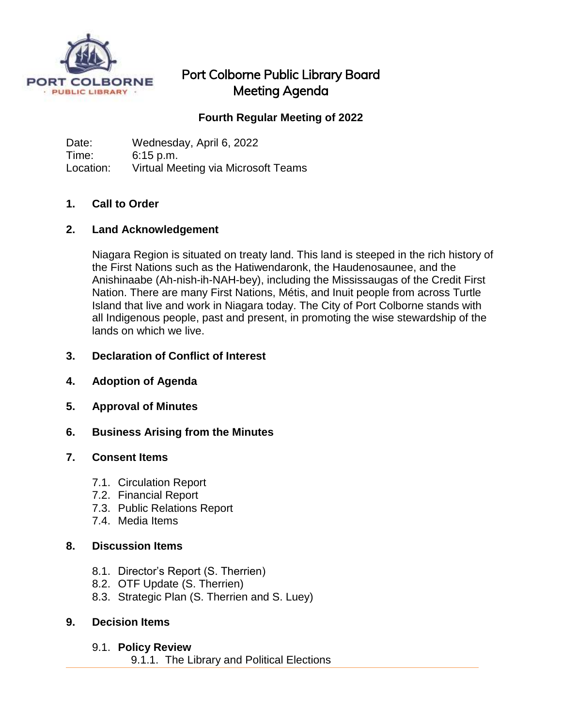

# Port Colborne Public Library Board Meeting Agenda

# **Fourth Regular Meeting of 2022**

Date: Wednesday, April 6, 2022 Time: 6:15 p.m. Location: Virtual Meeting via Microsoft Teams

## **1. Call to Order**

### **2. Land Acknowledgement**

Niagara Region is situated on treaty land. This land is steeped in the rich history of the First Nations such as the Hatiwendaronk, the Haudenosaunee, and the Anishinaabe (Ah-nish-ih-NAH-bey), including the Mississaugas of the Credit First Nation. There are many First Nations, Métis, and Inuit people from across Turtle Island that live and work in Niagara today. The City of Port Colborne stands with all Indigenous people, past and present, in promoting the wise stewardship of the lands on which we live.

### **3. Declaration of Conflict of Interest**

- **4. Adoption of Agenda**
- **5. Approval of Minutes**
- **6. Business Arising from the Minutes**

#### **7. Consent Items**

- 7.1. Circulation Report
- 7.2. Financial Report
- 7.3. Public Relations Report
- 7.4. Media Items

#### **8. Discussion Items**

- 8.1. Director's Report (S. Therrien)
- 8.2. OTF Update (S. Therrien)
- 8.3. Strategic Plan (S. Therrien and S. Luey)

#### **9. Decision Items**

#### 9.1. **Policy Review**

9.1.1. The Library and Political Elections